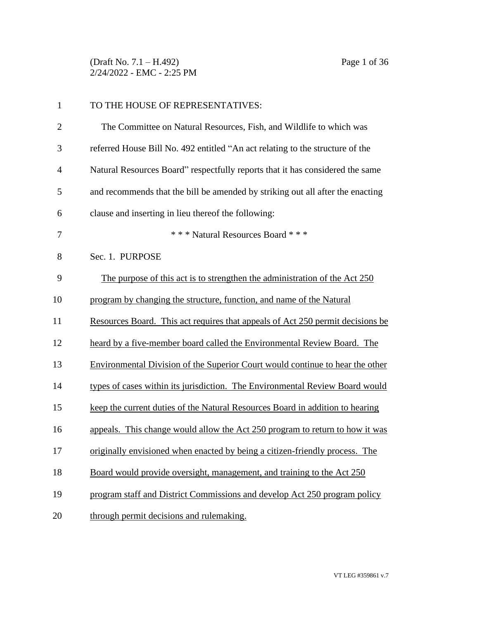(Draft No. 7.1 – H.492) Page 1 of 36 2/24/2022 - EMC - 2:25 PM

| $\mathbf{1}$   | TO THE HOUSE OF REPRESENTATIVES:                                               |
|----------------|--------------------------------------------------------------------------------|
| $\overline{2}$ | The Committee on Natural Resources, Fish, and Wildlife to which was            |
| 3              | referred House Bill No. 492 entitled "An act relating to the structure of the  |
| $\overline{4}$ | Natural Resources Board" respectfully reports that it has considered the same  |
| 5              | and recommends that the bill be amended by striking out all after the enacting |
| 6              | clause and inserting in lieu thereof the following:                            |
| 7              | *** Natural Resources Board ***                                                |
| 8              | Sec. 1. PURPOSE                                                                |
| 9              | The purpose of this act is to strengthen the administration of the Act 250     |
| 10             | program by changing the structure, function, and name of the Natural           |
| 11             | Resources Board. This act requires that appeals of Act 250 permit decisions be |
| 12             | heard by a five-member board called the Environmental Review Board. The        |
| 13             | Environmental Division of the Superior Court would continue to hear the other  |
| 14             | types of cases within its jurisdiction. The Environmental Review Board would   |
| 15             | keep the current duties of the Natural Resources Board in addition to hearing  |
| 16             | appeals. This change would allow the Act 250 program to return to how it was   |
| 17             | originally envisioned when enacted by being a citizen-friendly process. The    |
| 18             | Board would provide oversight, management, and training to the Act 250         |
| 19             | program staff and District Commissions and develop Act 250 program policy      |
| 20             | through permit decisions and rulemaking.                                       |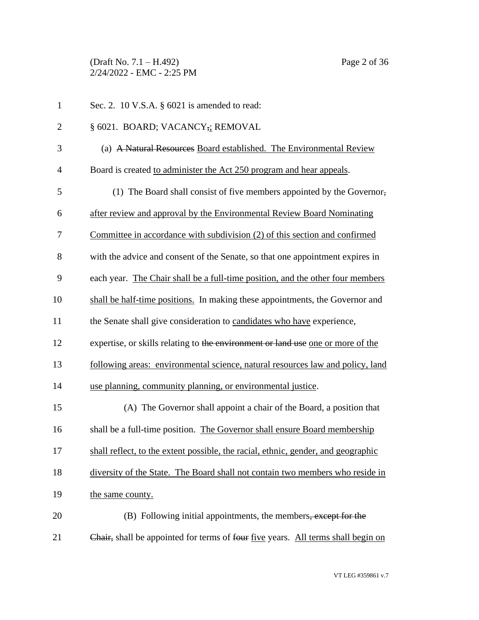(Draft No. 7.1 – H.492) Page 2 of 36 2/24/2022 - EMC - 2:25 PM

| $\mathbf{1}$   | Sec. 2. 10 V.S.A. $\S$ 6021 is amended to read:                                   |
|----------------|-----------------------------------------------------------------------------------|
| $\overline{2}$ | § 6021. BOARD; VACANCY,; REMOVAL                                                  |
| 3              | (a) A Natural Resources Board established. The Environmental Review               |
| $\overline{4}$ | Board is created to administer the Act 250 program and hear appeals.              |
| 5              | (1) The Board shall consist of five members appointed by the Governor,            |
| 6              | after review and approval by the Environmental Review Board Nominating            |
| 7              | Committee in accordance with subdivision (2) of this section and confirmed        |
| 8              | with the advice and consent of the Senate, so that one appointment expires in     |
| 9              | each year. The Chair shall be a full-time position, and the other four members    |
| 10             | shall be half-time positions. In making these appointments, the Governor and      |
| 11             | the Senate shall give consideration to candidates who have experience,            |
| 12             | expertise, or skills relating to the environment or land use one or more of the   |
| 13             | following areas: environmental science, natural resources law and policy, land    |
| 14             | use planning, community planning, or environmental justice.                       |
| 15             | (A) The Governor shall appoint a chair of the Board, a position that              |
| 16             | shall be a full-time position. The Governor shall ensure Board membership         |
| 17             | shall reflect, to the extent possible, the racial, ethnic, gender, and geographic |
| 18             | diversity of the State. The Board shall not contain two members who reside in     |
| 19             | the same county.                                                                  |
| 20             | (B) Following initial appointments, the members <del>, except for the</del>       |
| 21             | Chair, shall be appointed for terms of four five years. All terms shall begin on  |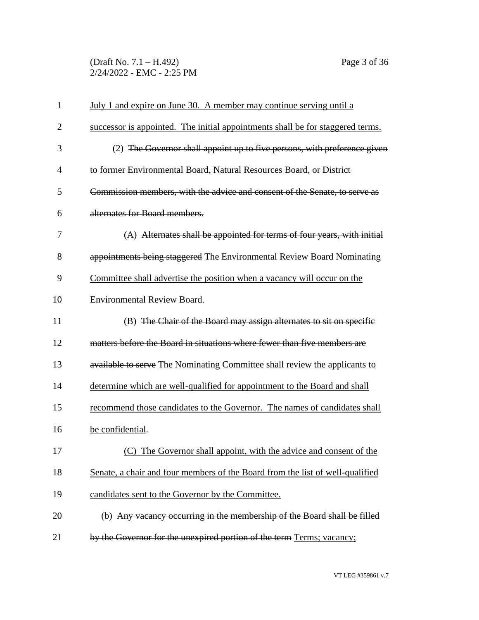(Draft No. 7.1 – H.492) Page 3 of 36 2/24/2022 - EMC - 2:25 PM

| $\mathbf{1}$   | <u>July 1 and expire on June 30. A member may continue serving until a</u>     |
|----------------|--------------------------------------------------------------------------------|
| $\overline{2}$ | successor is appointed. The initial appointments shall be for staggered terms. |
| 3              | (2) The Governor shall appoint up to five persons, with preference given       |
| $\overline{4}$ | to former Environmental Board, Natural Resources Board, or District            |
| 5              | Commission members, with the advice and consent of the Senate, to serve as     |
| 6              | alternates for Board members.                                                  |
| 7              | (A) Alternates shall be appointed for terms of four years, with initial        |
| 8              | appointments being staggered The Environmental Review Board Nominating         |
| 9              | Committee shall advertise the position when a vacancy will occur on the        |
| 10             | Environmental Review Board.                                                    |
| 11             | (B) The Chair of the Board may assign alternates to sit on specific            |
| 12             | matters before the Board in situations where fewer than five members are       |
| 13             | available to serve The Nominating Committee shall review the applicants to     |
| 14             | determine which are well-qualified for appointment to the Board and shall      |
| 15             | recommend those candidates to the Governor. The names of candidates shall      |
| 16             | be confidential.                                                               |
| 17             | (C) The Governor shall appoint, with the advice and consent of the             |
| 18             | Senate, a chair and four members of the Board from the list of well-qualified  |
| 19             | candidates sent to the Governor by the Committee.                              |
| 20             | (b) Any vacancy occurring in the membership of the Board shall be filled       |
| 21             | by the Governor for the unexpired portion of the term Terms; vacancy;          |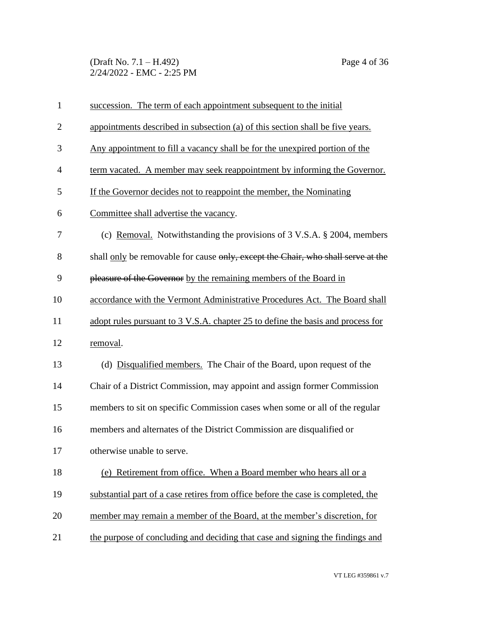(Draft No. 7.1 – H.492) Page 4 of 36 2/24/2022 - EMC - 2:25 PM

| $\mathbf{1}$   | succession. The term of each appointment subsequent to the initial               |
|----------------|----------------------------------------------------------------------------------|
| $\overline{2}$ | appointments described in subsection (a) of this section shall be five years.    |
| 3              | Any appointment to fill a vacancy shall be for the unexpired portion of the      |
| 4              | term vacated. A member may seek reappointment by informing the Governor.         |
| 5              | If the Governor decides not to reappoint the member, the Nominating              |
| 6              | Committee shall advertise the vacancy.                                           |
| 7              | (c) Removal. Notwithstanding the provisions of $3$ V.S.A. $\S$ 2004, members     |
| 8              | shall only be removable for cause only, except the Chair, who shall serve at the |
| 9              | pleasure of the Governor by the remaining members of the Board in                |
| 10             | accordance with the Vermont Administrative Procedures Act. The Board shall       |
| 11             | adopt rules pursuant to 3 V.S.A. chapter 25 to define the basis and process for  |
| 12             | removal.                                                                         |
| 13             | (d) Disqualified members. The Chair of the Board, upon request of the            |
| 14             | Chair of a District Commission, may appoint and assign former Commission         |
| 15             | members to sit on specific Commission cases when some or all of the regular      |
| 16             | members and alternates of the District Commission are disqualified or            |
| 17             | otherwise unable to serve.                                                       |
| 18             | (e) Retirement from office. When a Board member who hears all or a               |
| 19             | substantial part of a case retires from office before the case is completed, the |
| 20             | member may remain a member of the Board, at the member's discretion, for         |
| 21             | the purpose of concluding and deciding that case and signing the findings and    |

VT LEG #359861 v.7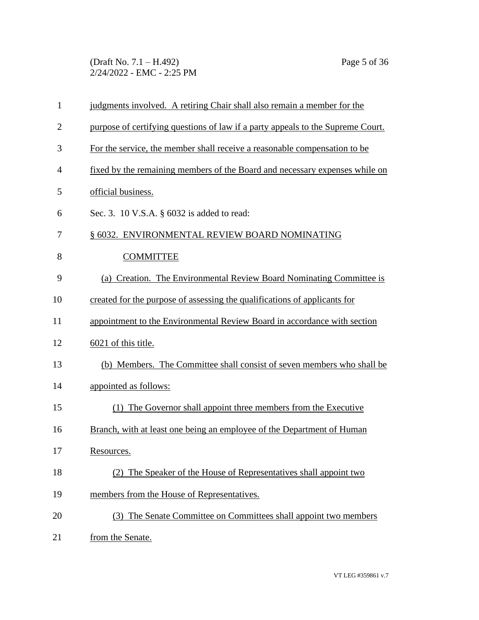(Draft No. 7.1 – H.492) Page 5 of 36 2/24/2022 - EMC - 2:25 PM

| $\mathbf{1}$   | judgments involved. A retiring Chair shall also remain a member for the         |
|----------------|---------------------------------------------------------------------------------|
| $\overline{2}$ | purpose of certifying questions of law if a party appeals to the Supreme Court. |
| 3              | For the service, the member shall receive a reasonable compensation to be       |
| 4              | fixed by the remaining members of the Board and necessary expenses while on     |
| 5              | official business.                                                              |
| 6              | Sec. 3. 10 V.S.A. § 6032 is added to read:                                      |
| 7              | § 6032. ENVIRONMENTAL REVIEW BOARD NOMINATING                                   |
| 8              | <b>COMMITTEE</b>                                                                |
| 9              | (a) Creation. The Environmental Review Board Nominating Committee is            |
| 10             | created for the purpose of assessing the qualifications of applicants for       |
| 11             | appointment to the Environmental Review Board in accordance with section        |
| 12             | 6021 of this title.                                                             |
| 13             | (b) Members. The Committee shall consist of seven members who shall be          |
| 14             | appointed as follows:                                                           |
| 15             | (1) The Governor shall appoint three members from the Executive                 |
| 16             | Branch, with at least one being an employee of the Department of Human          |
| 17             | Resources.                                                                      |
| 18             | (2) The Speaker of the House of Representatives shall appoint two               |
| 19             | members from the House of Representatives.                                      |
| 20             | (3) The Senate Committee on Committees shall appoint two members                |
| 21             | from the Senate.                                                                |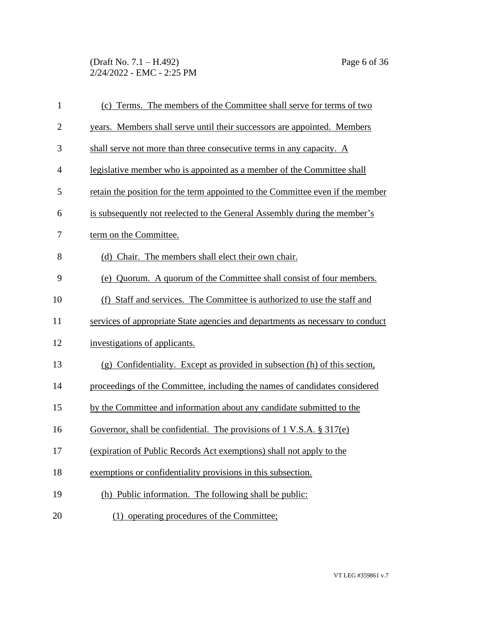(Draft No. 7.1 – H.492) Page 6 of 36 2/24/2022 - EMC - 2:25 PM

| $\mathbf{1}$   | (c) Terms. The members of the Committee shall serve for terms of two           |
|----------------|--------------------------------------------------------------------------------|
| $\overline{2}$ | years. Members shall serve until their successors are appointed. Members       |
| 3              | shall serve not more than three consecutive terms in any capacity. A           |
| 4              | legislative member who is appointed as a member of the Committee shall         |
| 5              | retain the position for the term appointed to the Committee even if the member |
| 6              | is subsequently not reelected to the General Assembly during the member's      |
| 7              | term on the Committee.                                                         |
| 8              | (d) Chair. The members shall elect their own chair.                            |
| 9              | (e) Quorum. A quorum of the Committee shall consist of four members.           |
| 10             | (f) Staff and services. The Committee is authorized to use the staff and       |
| 11             | services of appropriate State agencies and departments as necessary to conduct |
| 12             | investigations of applicants.                                                  |
| 13             | (g) Confidentiality. Except as provided in subsection (h) of this section,     |
| 14             | proceedings of the Committee, including the names of candidates considered     |
| 15             | by the Committee and information about any candidate submitted to the          |
| 16             | Governor, shall be confidential. The provisions of 1 V.S.A. $\S 317(e)$        |
| 17             | (expiration of Public Records Act exemptions) shall not apply to the           |
| 18             | exemptions or confidentiality provisions in this subsection.                   |
| 19             | (h) Public information. The following shall be public:                         |
| 20             | (1) operating procedures of the Committee;                                     |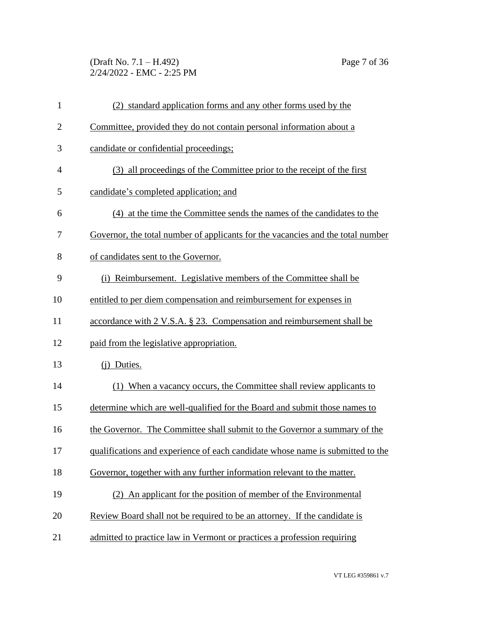(Draft No. 7.1 – H.492) Page 7 of 36 2/24/2022 - EMC - 2:25 PM

| $\mathbf{1}$   | (2) standard application forms and any other forms used by the                  |
|----------------|---------------------------------------------------------------------------------|
| $\overline{2}$ | Committee, provided they do not contain personal information about a            |
| 3              | candidate or confidential proceedings;                                          |
| $\overline{4}$ | (3) all proceedings of the Committee prior to the receipt of the first          |
| 5              | candidate's completed application; and                                          |
| 6              | (4) at the time the Committee sends the names of the candidates to the          |
| 7              | Governor, the total number of applicants for the vacancies and the total number |
| 8              | of candidates sent to the Governor.                                             |
| 9              | (i) Reimbursement. Legislative members of the Committee shall be                |
| 10             | entitled to per diem compensation and reimbursement for expenses in             |
| 11             | accordance with 2 V.S.A. § 23. Compensation and reimbursement shall be          |
| 12             | paid from the legislative appropriation.                                        |
| 13             | (j) Duties.                                                                     |
| 14             | (1) When a vacancy occurs, the Committee shall review applicants to             |
| 15             | determine which are well-qualified for the Board and submit those names to      |
| 16             | the Governor. The Committee shall submit to the Governor a summary of the       |
| 17             | qualifications and experience of each candidate whose name is submitted to the  |
| 18             | Governor, together with any further information relevant to the matter.         |
| 19             | (2) An applicant for the position of member of the Environmental                |
| 20             | Review Board shall not be required to be an attorney. If the candidate is       |
| 21             | admitted to practice law in Vermont or practices a profession requiring         |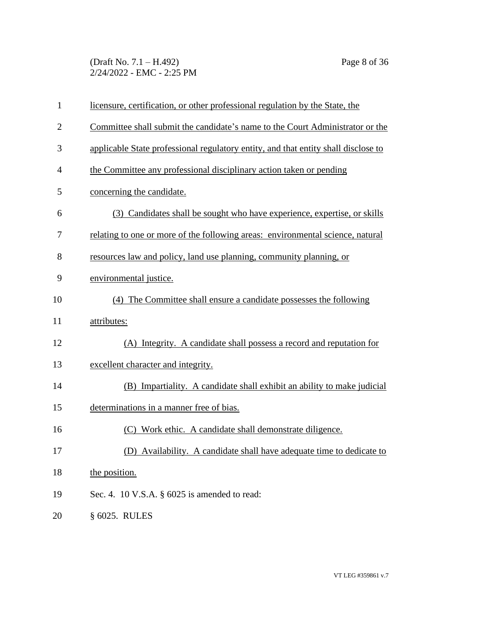(Draft No. 7.1 – H.492) Page 8 of 36 2/24/2022 - EMC - 2:25 PM

| $\mathbf{1}$   | licensure, certification, or other professional regulation by the State, the       |
|----------------|------------------------------------------------------------------------------------|
| $\overline{2}$ | Committee shall submit the candidate's name to the Court Administrator or the      |
| 3              | applicable State professional regulatory entity, and that entity shall disclose to |
| $\overline{4}$ | the Committee any professional disciplinary action taken or pending                |
| 5              | concerning the candidate.                                                          |
| 6              | (3) Candidates shall be sought who have experience, expertise, or skills           |
| 7              | relating to one or more of the following areas: environmental science, natural     |
| 8              | resources law and policy, land use planning, community planning, or                |
| 9              | environmental justice.                                                             |
| 10             | (4) The Committee shall ensure a candidate possesses the following                 |
| 11             | attributes:                                                                        |
| 12             | (A) Integrity. A candidate shall possess a record and reputation for               |
| 13             | excellent character and integrity.                                                 |
| 14             | (B) Impartiality. A candidate shall exhibit an ability to make judicial            |
| 15             | determinations in a manner free of bias.                                           |
| 16             | (C) Work ethic. A candidate shall demonstrate diligence.                           |
| 17             | (D) Availability. A candidate shall have adequate time to dedicate to              |
| 18             | the position.                                                                      |
| 19             | Sec. 4. 10 V.S.A. $\S$ 6025 is amended to read:                                    |
| 20             | § 6025. RULES                                                                      |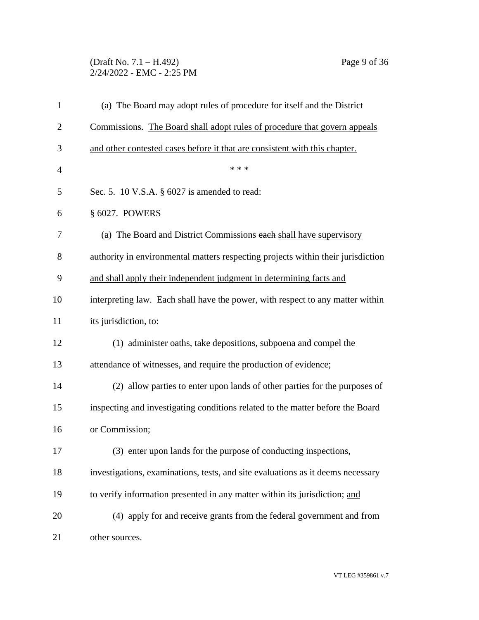### (Draft No. 7.1 – H.492) Page 9 of 36 2/24/2022 - EMC - 2:25 PM

| $\mathbf{1}$   | (a) The Board may adopt rules of procedure for itself and the District           |
|----------------|----------------------------------------------------------------------------------|
| $\overline{2}$ | Commissions. The Board shall adopt rules of procedure that govern appeals        |
| 3              | and other contested cases before it that are consistent with this chapter.       |
| $\overline{4}$ | * * *                                                                            |
| 5              | Sec. 5. 10 V.S.A. § 6027 is amended to read:                                     |
| 6              | § 6027. POWERS                                                                   |
| 7              | (a) The Board and District Commissions each shall have supervisory               |
| 8              | authority in environmental matters respecting projects within their jurisdiction |
| 9              | and shall apply their independent judgment in determining facts and              |
| 10             | interpreting law. Each shall have the power, with respect to any matter within   |
| 11             | its jurisdiction, to:                                                            |
| 12             | (1) administer oaths, take depositions, subpoena and compel the                  |
| 13             | attendance of witnesses, and require the production of evidence;                 |
| 14             | (2) allow parties to enter upon lands of other parties for the purposes of       |
| 15             | inspecting and investigating conditions related to the matter before the Board   |
| 16             | or Commission;                                                                   |
| 17             | (3) enter upon lands for the purpose of conducting inspections,                  |
| 18             | investigations, examinations, tests, and site evaluations as it deems necessary  |
| 19             | to verify information presented in any matter within its jurisdiction; and       |
| 20             | (4) apply for and receive grants from the federal government and from            |
| 21             | other sources.                                                                   |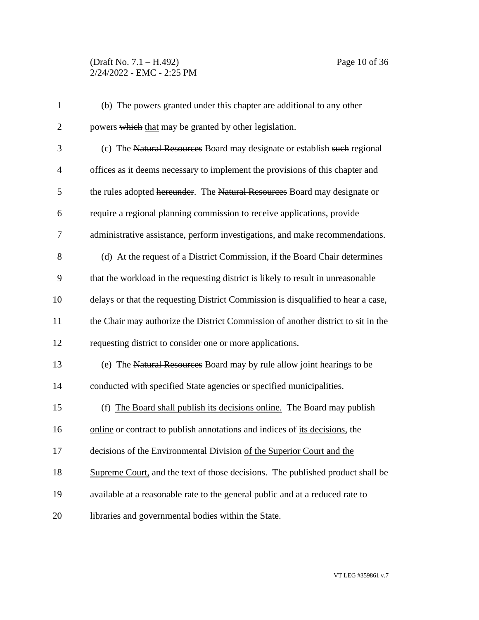## (Draft No. 7.1 – H.492) Page 10 of 36 2/24/2022 - EMC - 2:25 PM

| $\mathbf{1}$   | (b) The powers granted under this chapter are additional to any other             |
|----------------|-----------------------------------------------------------------------------------|
| $\overline{2}$ | powers which that may be granted by other legislation.                            |
| 3              | (c) The Natural Resources Board may designate or establish such regional          |
| $\overline{4}$ | offices as it deems necessary to implement the provisions of this chapter and     |
| 5              | the rules adopted hereunder. The Natural Resources Board may designate or         |
| 6              | require a regional planning commission to receive applications, provide           |
| 7              | administrative assistance, perform investigations, and make recommendations.      |
| 8              | (d) At the request of a District Commission, if the Board Chair determines        |
| 9              | that the workload in the requesting district is likely to result in unreasonable  |
| 10             | delays or that the requesting District Commission is disqualified to hear a case, |
| 11             | the Chair may authorize the District Commission of another district to sit in the |
| 12             | requesting district to consider one or more applications.                         |
| 13             | (e) The Natural Resources Board may by rule allow joint hearings to be            |
| 14             | conducted with specified State agencies or specified municipalities.              |
| 15             | (f) The Board shall publish its decisions online. The Board may publish           |
| 16             | online or contract to publish annotations and indices of its decisions, the       |
| 17             | decisions of the Environmental Division of the Superior Court and the             |
| 18             | Supreme Court, and the text of those decisions. The published product shall be    |
| 19             | available at a reasonable rate to the general public and at a reduced rate to     |
| 20             | libraries and governmental bodies within the State.                               |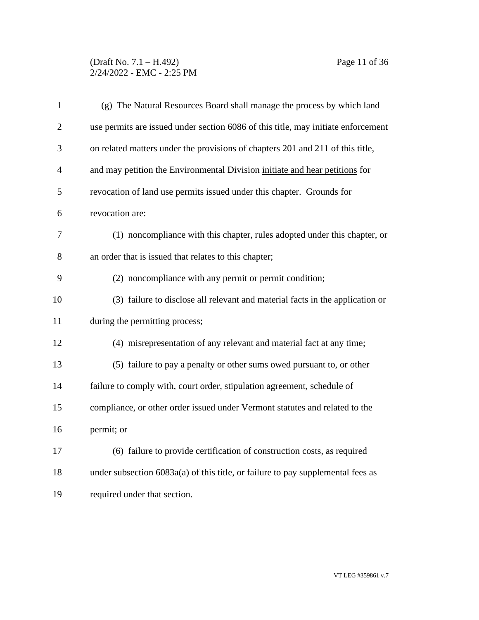(Draft No. 7.1 – H.492) Page 11 of 36 2/24/2022 - EMC - 2:25 PM

| $\mathbf{1}$   | (g) The Natural Resources Board shall manage the process by which land            |
|----------------|-----------------------------------------------------------------------------------|
| $\overline{2}$ | use permits are issued under section 6086 of this title, may initiate enforcement |
| 3              | on related matters under the provisions of chapters 201 and 211 of this title,    |
| $\overline{4}$ | and may petition the Environmental Division initiate and hear petitions for       |
| 5              | revocation of land use permits issued under this chapter. Grounds for             |
| 6              | revocation are:                                                                   |
| $\tau$         | (1) noncompliance with this chapter, rules adopted under this chapter, or         |
| 8              | an order that is issued that relates to this chapter;                             |
| 9              | (2) noncompliance with any permit or permit condition;                            |
| 10             | (3) failure to disclose all relevant and material facts in the application or     |
| 11             | during the permitting process;                                                    |
| 12             | (4) misrepresentation of any relevant and material fact at any time;              |
| 13             | (5) failure to pay a penalty or other sums owed pursuant to, or other             |
| 14             | failure to comply with, court order, stipulation agreement, schedule of           |
| 15             | compliance, or other order issued under Vermont statutes and related to the       |
| 16             | permit; or                                                                        |
| 17             | (6) failure to provide certification of construction costs, as required           |
| 18             | under subsection $6083a(a)$ of this title, or failure to pay supplemental fees as |
| 19             | required under that section.                                                      |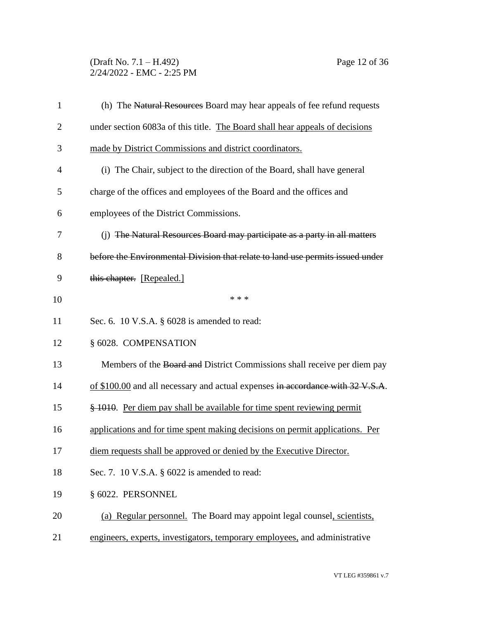(Draft No. 7.1 – H.492) Page 12 of 36 2/24/2022 - EMC - 2:25 PM

| $\mathbf{1}$   | (h) The Natural Resources Board may hear appeals of fee refund requests        |
|----------------|--------------------------------------------------------------------------------|
| $\overline{2}$ | under section 6083a of this title. The Board shall hear appeals of decisions   |
| 3              | made by District Commissions and district coordinators.                        |
| $\overline{4}$ | (i) The Chair, subject to the direction of the Board, shall have general       |
| 5              | charge of the offices and employees of the Board and the offices and           |
| 6              | employees of the District Commissions.                                         |
| 7              | (j) The Natural Resources Board may participate as a party in all matters      |
| 8              | before the Environmental Division that relate to land use permits issued under |
| 9              | this chapter. [Repealed.]                                                      |
| 10             | * * *                                                                          |
| 11             | Sec. 6. 10 V.S.A. $\S$ 6028 is amended to read:                                |
| 12             | § 6028. COMPENSATION                                                           |
| 13             | Members of the Board and District Commissions shall receive per diem pay       |
| 14             | of \$100.00 and all necessary and actual expenses in accordance with 32 V.S.A. |
| 15             | \$1010. Per diem pay shall be available for time spent reviewing permit        |
| 16             | applications and for time spent making decisions on permit applications. Per   |
| 17             | diem requests shall be approved or denied by the Executive Director.           |
| 18             | Sec. 7. 10 V.S.A. $\S$ 6022 is amended to read:                                |
| 19             | § 6022. PERSONNEL                                                              |
| 20             | (a) Regular personnel. The Board may appoint legal counsel, scientists,        |
| 21             | engineers, experts, investigators, temporary employees, and administrative     |
|                |                                                                                |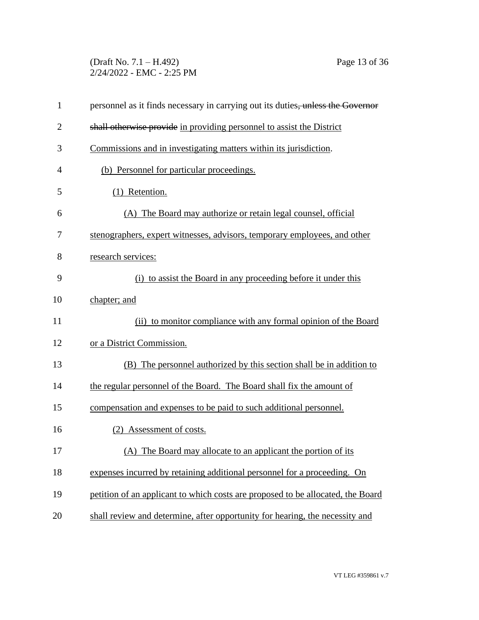(Draft No. 7.1 – H.492) Page 13 of 36 2/24/2022 - EMC - 2:25 PM

| $\mathbf{1}$   | personnel as it finds necessary in carrying out its duties, unless the Governor |
|----------------|---------------------------------------------------------------------------------|
| $\overline{2}$ | shall otherwise provide in providing personnel to assist the District           |
| 3              | Commissions and in investigating matters within its jurisdiction.               |
| $\overline{4}$ | (b) Personnel for particular proceedings.                                       |
| 5              | (1) Retention.                                                                  |
| 6              | (A) The Board may authorize or retain legal counsel, official                   |
| 7              | stenographers, expert witnesses, advisors, temporary employees, and other       |
| 8              | research services:                                                              |
| 9              | (i) to assist the Board in any proceeding before it under this                  |
| 10             | chapter; and                                                                    |
| 11             | (ii) to monitor compliance with any formal opinion of the Board                 |
| 12             | or a District Commission.                                                       |
| 13             | (B) The personnel authorized by this section shall be in addition to            |
| 14             | the regular personnel of the Board. The Board shall fix the amount of           |
| 15             | compensation and expenses to be paid to such additional personnel.              |
| 16             | (2) Assessment of costs.                                                        |
| 17             | (A) The Board may allocate to an applicant the portion of its                   |
| 18             | expenses incurred by retaining additional personnel for a proceeding. On        |
| 19             | petition of an applicant to which costs are proposed to be allocated, the Board |
| 20             | shall review and determine, after opportunity for hearing, the necessity and    |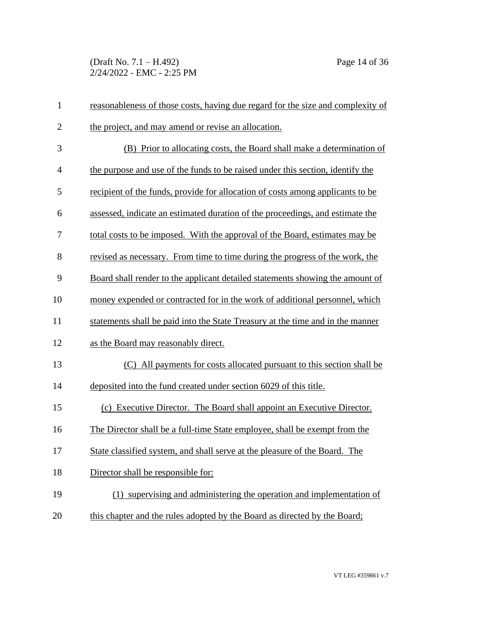(Draft No. 7.1 – H.492) Page 14 of 36 2/24/2022 - EMC - 2:25 PM

| $\mathbf{1}$   | reasonableness of those costs, having due regard for the size and complexity of |
|----------------|---------------------------------------------------------------------------------|
| $\mathbf{2}$   | the project, and may amend or revise an allocation.                             |
| 3              | (B) Prior to allocating costs, the Board shall make a determination of          |
| $\overline{4}$ | the purpose and use of the funds to be raised under this section, identify the  |
| 5              | recipient of the funds, provide for allocation of costs among applicants to be  |
| 6              | assessed, indicate an estimated duration of the proceedings, and estimate the   |
| 7              | total costs to be imposed. With the approval of the Board, estimates may be     |
| 8              | revised as necessary. From time to time during the progress of the work, the    |
| 9              | Board shall render to the applicant detailed statements showing the amount of   |
| 10             | money expended or contracted for in the work of additional personnel, which     |
| 11             | statements shall be paid into the State Treasury at the time and in the manner  |
| 12             | as the Board may reasonably direct.                                             |
| 13             | (C) All payments for costs allocated pursuant to this section shall be          |
| 14             | deposited into the fund created under section 6029 of this title.               |
| 15             | (c) Executive Director. The Board shall appoint an Executive Director.          |
| 16             | The Director shall be a full-time State employee, shall be exempt from the      |
| 17             | State classified system, and shall serve at the pleasure of the Board. The      |
| 18             | Director shall be responsible for:                                              |
| 19             | (1) supervising and administering the operation and implementation of           |
| 20             | this chapter and the rules adopted by the Board as directed by the Board;       |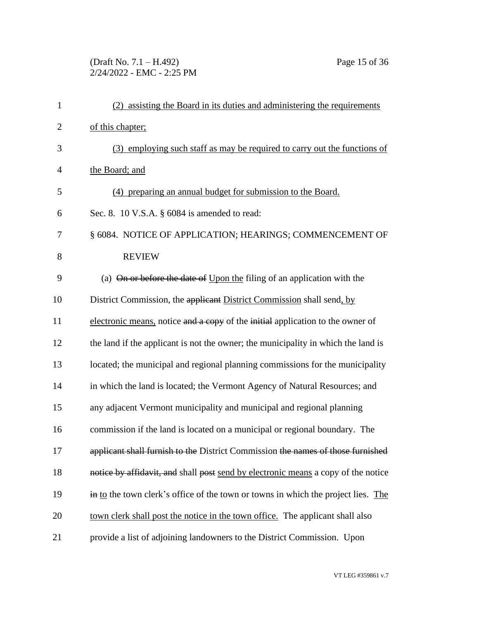# (Draft No. 7.1 – H.492) Page 15 of 36 2/24/2022 - EMC - 2:25 PM

| $\mathbf{1}$   | (2) assisting the Board in its duties and administering the requirements          |
|----------------|-----------------------------------------------------------------------------------|
| $\overline{2}$ | of this chapter;                                                                  |
| 3              | (3) employing such staff as may be required to carry out the functions of         |
| $\overline{4}$ | the Board; and                                                                    |
| 5              | (4) preparing an annual budget for submission to the Board.                       |
| 6              | Sec. 8. 10 V.S.A. § 6084 is amended to read:                                      |
| 7              | § 6084. NOTICE OF APPLICATION; HEARINGS; COMMENCEMENT OF                          |
| 8              | <b>REVIEW</b>                                                                     |
| 9              | (a) On or before the date of Upon the filing of an application with the           |
| 10             | District Commission, the applicant District Commission shall send, by             |
| 11             | electronic means, notice and a copy of the initial application to the owner of    |
| 12             | the land if the applicant is not the owner; the municipality in which the land is |
| 13             | located; the municipal and regional planning commissions for the municipality     |
| 14             | in which the land is located; the Vermont Agency of Natural Resources; and        |
| 15             | any adjacent Vermont municipality and municipal and regional planning             |
| 16             | commission if the land is located on a municipal or regional boundary. The        |
| 17             | applicant shall furnish to the District Commission the names of those furnished   |
| 18             | notice by affidavit, and shall post send by electronic means a copy of the notice |
| 19             | in to the town clerk's office of the town or towns in which the project lies. The |
| 20             | town clerk shall post the notice in the town office. The applicant shall also     |
| 21             | provide a list of adjoining landowners to the District Commission. Upon           |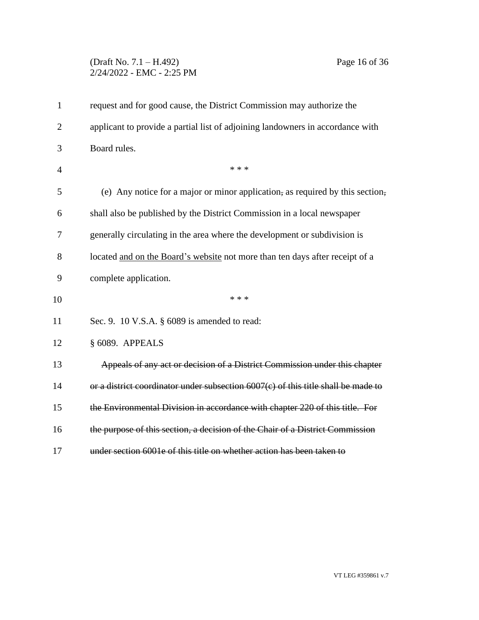# (Draft No. 7.1 – H.492) Page 16 of 36 2/24/2022 - EMC - 2:25 PM

| $\mathbf{1}$   | request and for good cause, the District Commission may authorize the             |
|----------------|-----------------------------------------------------------------------------------|
| $\overline{2}$ | applicant to provide a partial list of adjoining landowners in accordance with    |
| 3              | Board rules.                                                                      |
| $\overline{4}$ | * * *                                                                             |
| 5              | (e) Any notice for a major or minor application, as required by this section,     |
| 6              | shall also be published by the District Commission in a local newspaper           |
| 7              | generally circulating in the area where the development or subdivision is         |
| 8              | located and on the Board's website not more than ten days after receipt of a      |
| 9              | complete application.                                                             |
| 10             | * * *                                                                             |
| 11             | Sec. 9. 10 V.S.A. § 6089 is amended to read:                                      |
| 12             | § 6089. APPEALS                                                                   |
| 13             | Appeals of any act or decision of a District Commission under this chapter        |
| 14             | or a district coordinator under subsection 6007(c) of this title shall be made to |
| 15             | the Environmental Division in accordance with chapter 220 of this title. For      |
| 16             | the purpose of this section, a decision of the Chair of a District Commission     |
| 17             | under section 6001e of this title on whether action has been taken to             |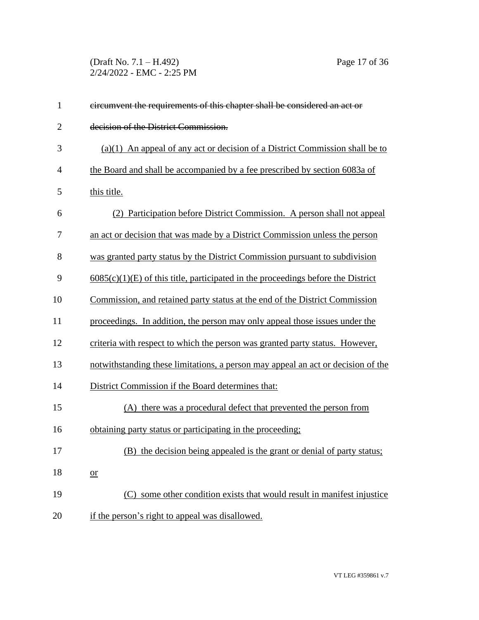(Draft No. 7.1 – H.492) Page 17 of 36 2/24/2022 - EMC - 2:25 PM

| $\mathbf{1}$   | eircumvent the requirements of this chapter shall be considered an act or          |
|----------------|------------------------------------------------------------------------------------|
| $\overline{2}$ | decision of the District Commission.                                               |
| 3              | $(a)(1)$ An appeal of any act or decision of a District Commission shall be to     |
| $\overline{4}$ | the Board and shall be accompanied by a fee prescribed by section 6083a of         |
| 5              | this title.                                                                        |
| 6              | (2) Participation before District Commission. A person shall not appeal            |
| 7              | an act or decision that was made by a District Commission unless the person        |
| 8              | was granted party status by the District Commission pursuant to subdivision        |
| 9              | $6085(c)(1)(E)$ of this title, participated in the proceedings before the District |
| 10             | Commission, and retained party status at the end of the District Commission        |
| 11             | proceedings. In addition, the person may only appeal those issues under the        |
| 12             | criteria with respect to which the person was granted party status. However,       |
| 13             | notwithstanding these limitations, a person may appeal an act or decision of the   |
| 14             | District Commission if the Board determines that:                                  |
| 15             | (A) there was a procedural defect that prevented the person from                   |
| 16             | obtaining party status or participating in the proceeding;                         |
| 17             | (B) the decision being appealed is the grant or denial of party status;            |
| 18             | $or$                                                                               |
| 19             | (C) some other condition exists that would result in manifest injustice            |
| 20             | if the person's right to appeal was disallowed.                                    |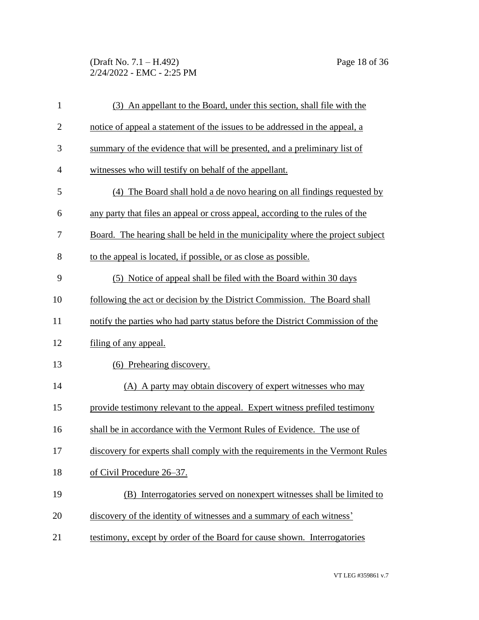(Draft No. 7.1 – H.492) Page 18 of 36 2/24/2022 - EMC - 2:25 PM

| $\mathbf{1}$   | (3) An appellant to the Board, under this section, shall file with the         |
|----------------|--------------------------------------------------------------------------------|
| $\overline{2}$ | notice of appeal a statement of the issues to be addressed in the appeal, a    |
| 3              | summary of the evidence that will be presented, and a preliminary list of      |
| $\overline{4}$ | witnesses who will testify on behalf of the appellant.                         |
| 5              | (4) The Board shall hold a de novo hearing on all findings requested by        |
| 6              | any party that files an appeal or cross appeal, according to the rules of the  |
| 7              | Board. The hearing shall be held in the municipality where the project subject |
| 8              | to the appeal is located, if possible, or as close as possible.                |
| 9              | (5) Notice of appeal shall be filed with the Board within 30 days              |
| 10             | following the act or decision by the District Commission. The Board shall      |
| 11             | notify the parties who had party status before the District Commission of the  |
| 12             | filing of any appeal.                                                          |
| 13             | (6) Prehearing discovery.                                                      |
| 14             | (A) A party may obtain discovery of expert witnesses who may                   |
| 15             | provide testimony relevant to the appeal. Expert witness prefiled testimony    |
| 16             | shall be in accordance with the Vermont Rules of Evidence. The use of          |
| 17             | discovery for experts shall comply with the requirements in the Vermont Rules  |
| 18             | of Civil Procedure 26-37.                                                      |
| 19             | (B) Interrogatories served on nonexpert witnesses shall be limited to          |
| 20             | discovery of the identity of witnesses and a summary of each witness'          |
| 21             | testimony, except by order of the Board for cause shown. Interrogatories       |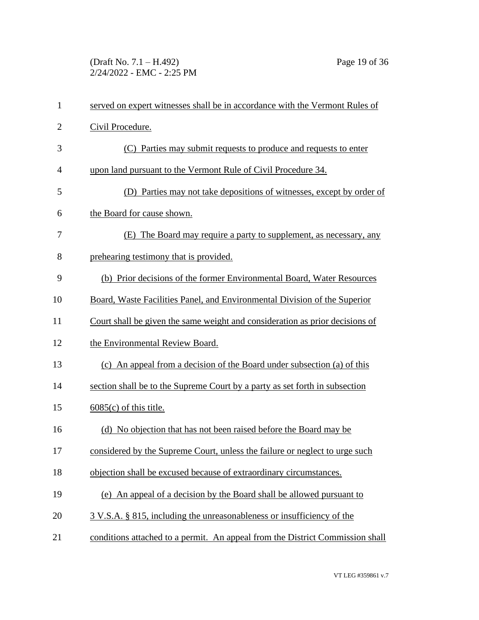(Draft No. 7.1 – H.492) Page 19 of 36 2/24/2022 - EMC - 2:25 PM

| $\mathbf{1}$   | served on expert witnesses shall be in accordance with the Vermont Rules of   |
|----------------|-------------------------------------------------------------------------------|
| $\overline{2}$ | Civil Procedure.                                                              |
| 3              | (C) Parties may submit requests to produce and requests to enter              |
| 4              | upon land pursuant to the Vermont Rule of Civil Procedure 34.                 |
| 5              | (D) Parties may not take depositions of witnesses, except by order of         |
| 6              | the Board for cause shown.                                                    |
| 7              | (E) The Board may require a party to supplement, as necessary, any            |
| 8              | prehearing testimony that is provided.                                        |
| 9              | (b) Prior decisions of the former Environmental Board, Water Resources        |
| 10             | Board, Waste Facilities Panel, and Environmental Division of the Superior     |
| 11             | Court shall be given the same weight and consideration as prior decisions of  |
| 12             | the Environmental Review Board.                                               |
| 13             | (c) An appeal from a decision of the Board under subsection (a) of this       |
| 14             | section shall be to the Supreme Court by a party as set forth in subsection   |
| 15             | $6085(c)$ of this title.                                                      |
| 16             | (d) No objection that has not been raised before the Board may be             |
| 17             | considered by the Supreme Court, unless the failure or neglect to urge such   |
| 18             | objection shall be excused because of extraordinary circumstances.            |
| 19             | (e) An appeal of a decision by the Board shall be allowed pursuant to         |
| 20             | 3 V.S.A. § 815, including the unreasonableness or insufficiency of the        |
| 21             | conditions attached to a permit. An appeal from the District Commission shall |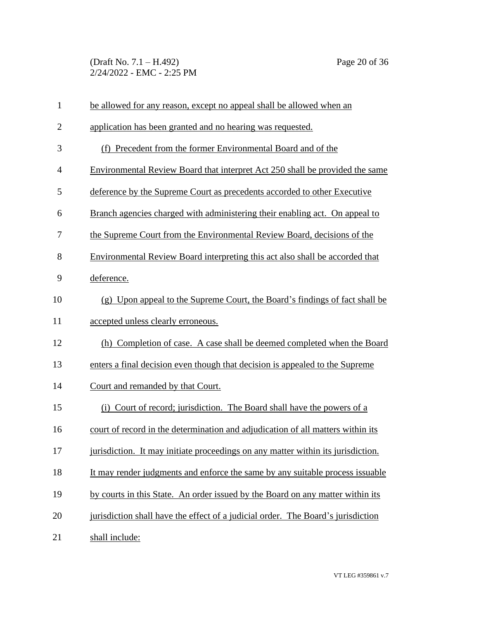(Draft No. 7.1 – H.492) Page 20 of 36 2/24/2022 - EMC - 2:25 PM

| $\mathbf{1}$   | be allowed for any reason, except no appeal shall be allowed when an             |
|----------------|----------------------------------------------------------------------------------|
| $\overline{2}$ | application has been granted and no hearing was requested.                       |
| 3              | (f) Precedent from the former Environmental Board and of the                     |
| $\overline{4}$ | Environmental Review Board that interpret Act 250 shall be provided the same     |
| 5              | deference by the Supreme Court as precedents accorded to other Executive         |
| 6              | Branch agencies charged with administering their enabling act. On appeal to      |
| 7              | the Supreme Court from the Environmental Review Board, decisions of the          |
| 8              | Environmental Review Board interpreting this act also shall be accorded that     |
| 9              | deference.                                                                       |
| 10             | (g) Upon appeal to the Supreme Court, the Board's findings of fact shall be      |
| 11             | accepted unless clearly erroneous.                                               |
| 12             | (h) Completion of case. A case shall be deemed completed when the Board          |
| 13             | enters a final decision even though that decision is appealed to the Supreme     |
| 14             | Court and remanded by that Court.                                                |
| 15             | (i) Court of record; jurisdiction. The Board shall have the powers of a          |
| 16             | court of record in the determination and adjudication of all matters within its  |
| 17             | jurisdiction. It may initiate proceedings on any matter within its jurisdiction. |
| 18             | It may render judgments and enforce the same by any suitable process issuable    |
| 19             | by courts in this State. An order issued by the Board on any matter within its   |
| 20             | jurisdiction shall have the effect of a judicial order. The Board's jurisdiction |
| 21             | shall include:                                                                   |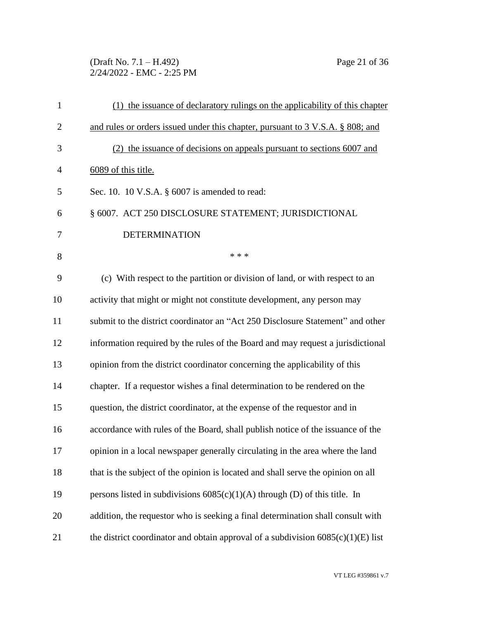(Draft No. 7.1 – H.492) Page 21 of 36 2/24/2022 - EMC - 2:25 PM

| $\mathbf{1}$   | (1) the issuance of declaratory rulings on the applicability of this chapter       |
|----------------|------------------------------------------------------------------------------------|
| $\overline{2}$ | and rules or orders issued under this chapter, pursuant to 3 V.S.A. § 808; and     |
| 3              | (2) the issuance of decisions on appeals pursuant to sections 6007 and             |
| 4              | 6089 of this title.                                                                |
| 5              | Sec. 10. 10 V.S.A. $\S$ 6007 is amended to read:                                   |
| 6              | § 6007. ACT 250 DISCLOSURE STATEMENT; JURISDICTIONAL                               |
| 7              | <b>DETERMINATION</b>                                                               |
| 8              | * * *                                                                              |
| 9              | (c) With respect to the partition or division of land, or with respect to an       |
| 10             | activity that might or might not constitute development, any person may            |
| 11             | submit to the district coordinator an "Act 250 Disclosure Statement" and other     |
| 12             | information required by the rules of the Board and may request a jurisdictional    |
| 13             | opinion from the district coordinator concerning the applicability of this         |
| 14             | chapter. If a requestor wishes a final determination to be rendered on the         |
| 15             | question, the district coordinator, at the expense of the requestor and in         |
| 16             | accordance with rules of the Board, shall publish notice of the issuance of the    |
| 17             | opinion in a local newspaper generally circulating in the area where the land      |
| 18             | that is the subject of the opinion is located and shall serve the opinion on all   |
| 19             | persons listed in subdivisions $6085(c)(1)(A)$ through (D) of this title. In       |
| 20             | addition, the requestor who is seeking a final determination shall consult with    |
| 21             | the district coordinator and obtain approval of a subdivision $6085(c)(1)(E)$ list |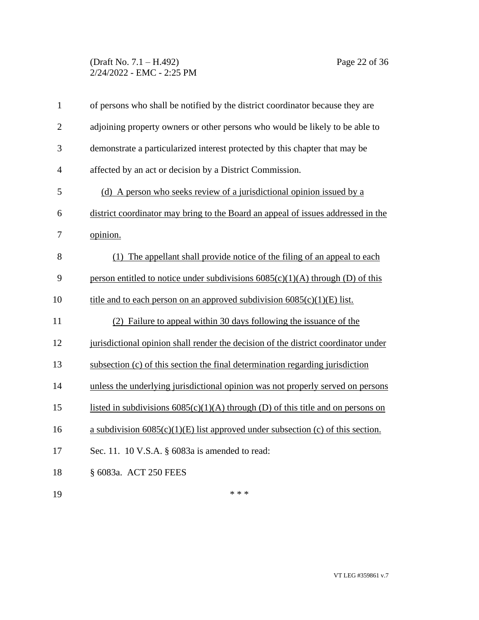### (Draft No. 7.1 – H.492) Page 22 of 36 2/24/2022 - EMC - 2:25 PM

| $\mathbf{1}$   | of persons who shall be notified by the district coordinator because they are      |
|----------------|------------------------------------------------------------------------------------|
| $\overline{2}$ | adjoining property owners or other persons who would be likely to be able to       |
| 3              | demonstrate a particularized interest protected by this chapter that may be        |
| $\overline{4}$ | affected by an act or decision by a District Commission.                           |
| 5              | (d) A person who seeks review of a jurisdictional opinion issued by a              |
| 6              | district coordinator may bring to the Board an appeal of issues addressed in the   |
| 7              | opinion.                                                                           |
| 8              | (1) The appellant shall provide notice of the filing of an appeal to each          |
| 9              | person entitled to notice under subdivisions $6085(c)(1)(A)$ through (D) of this   |
| 10             | title and to each person on an approved subdivision $6085(c)(1)(E)$ list.          |
| 11             | (2) Failure to appeal within 30 days following the issuance of the                 |
| 12             | jurisdictional opinion shall render the decision of the district coordinator under |
| 13             | subsection (c) of this section the final determination regarding jurisdiction      |
| 14             | unless the underlying jurisdictional opinion was not properly served on persons    |
| 15             | listed in subdivisions $6085(c)(1)(A)$ through (D) of this title and on persons on |
| 16             | a subdivision $6085(c)(1)(E)$ list approved under subsection (c) of this section.  |
| 17             | Sec. 11. 10 V.S.A. § 6083a is amended to read:                                     |
| 18             | § 6083a. ACT 250 FEES                                                              |
| 19             | * * *                                                                              |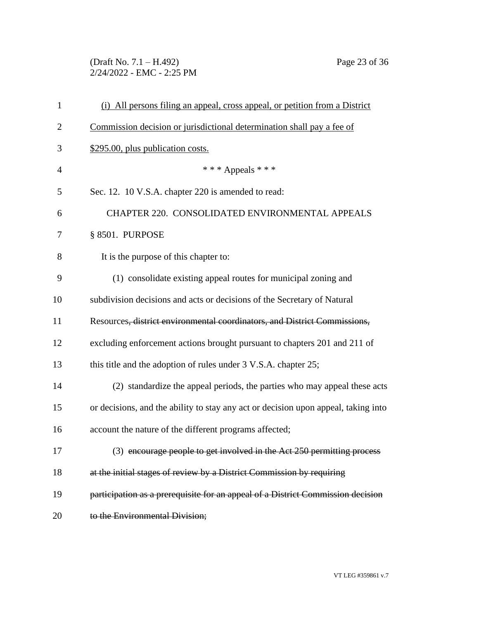(Draft No. 7.1 – H.492) Page 23 of 36 2/24/2022 - EMC - 2:25 PM

| $\mathbf{1}$   | (i) All persons filing an appeal, cross appeal, or petition from a District        |
|----------------|------------------------------------------------------------------------------------|
| $\overline{2}$ | Commission decision or jurisdictional determination shall pay a fee of             |
| 3              | \$295.00, plus publication costs.                                                  |
| $\overline{4}$ | *** Appeals ***                                                                    |
| 5              | Sec. 12. 10 V.S.A. chapter 220 is amended to read:                                 |
| 6              | CHAPTER 220. CONSOLIDATED ENVIRONMENTAL APPEALS                                    |
| 7              | § 8501. PURPOSE                                                                    |
| 8              | It is the purpose of this chapter to:                                              |
| 9              | (1) consolidate existing appeal routes for municipal zoning and                    |
| 10             | subdivision decisions and acts or decisions of the Secretary of Natural            |
| 11             | Resources, district environmental coordinators, and District Commissions,          |
| 12             | excluding enforcement actions brought pursuant to chapters 201 and 211 of          |
| 13             | this title and the adoption of rules under 3 V.S.A. chapter 25;                    |
| 14             | (2) standardize the appeal periods, the parties who may appeal these acts          |
| 15             | or decisions, and the ability to stay any act or decision upon appeal, taking into |
| 16             | account the nature of the different programs affected;                             |
| 17             | (3) encourage people to get involved in the Act 250 permitting process             |
| 18             | at the initial stages of review by a District Commission by requiring              |
| 19             | participation as a prerequisite for an appeal of a District Commission decision    |
| 20             | to the Environmental Division;                                                     |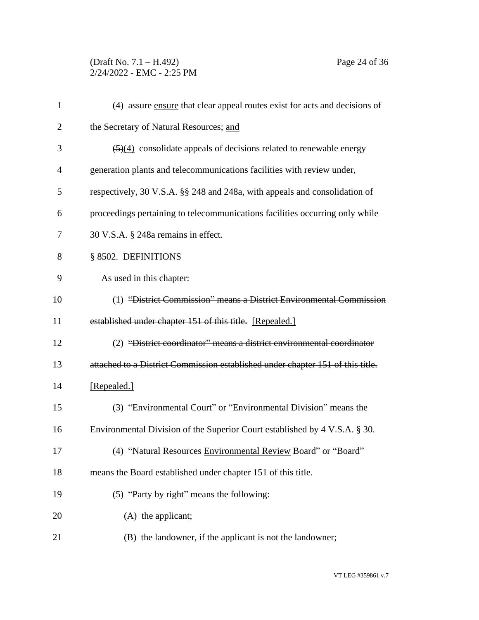# (Draft No. 7.1 – H.492) Page 24 of 36 2/24/2022 - EMC - 2:25 PM

| $\mathbf{1}$ | (4) assure ensure that clear appeal routes exist for acts and decisions of              |
|--------------|-----------------------------------------------------------------------------------------|
| 2            | the Secretary of Natural Resources; and                                                 |
| 3            | $\left(\frac{5}{4}\right)$ consolidate appeals of decisions related to renewable energy |
| 4            | generation plants and telecommunications facilities with review under,                  |
| 5            | respectively, 30 V.S.A. §§ 248 and 248a, with appeals and consolidation of              |
| 6            | proceedings pertaining to telecommunications facilities occurring only while            |
| 7            | 30 V.S.A. § 248a remains in effect.                                                     |
| 8            | § 8502. DEFINITIONS                                                                     |
| 9            | As used in this chapter:                                                                |
| 10           | (1) "District Commission" means a District Environmental Commission                     |
| 11           | established under chapter 151 of this title. [Repealed.]                                |
| 12           | (2) "District coordinator" means a district environmental coordinator                   |
| 13           | attached to a District Commission established under chapter 151 of this title.          |
| 14           | [Repealed.]                                                                             |
| 15           | (3) "Environmental Court" or "Environmental Division" means the                         |
| 16           | Environmental Division of the Superior Court established by 4 V.S.A. § 30.              |
| 17           | (4) "Natural Resources Environmental Review Board" or "Board"                           |
| 18           | means the Board established under chapter 151 of this title.                            |
| 19           | (5) "Party by right" means the following:                                               |
| 20           | (A) the applicant;                                                                      |
| 21           | (B) the landowner, if the applicant is not the landowner;                               |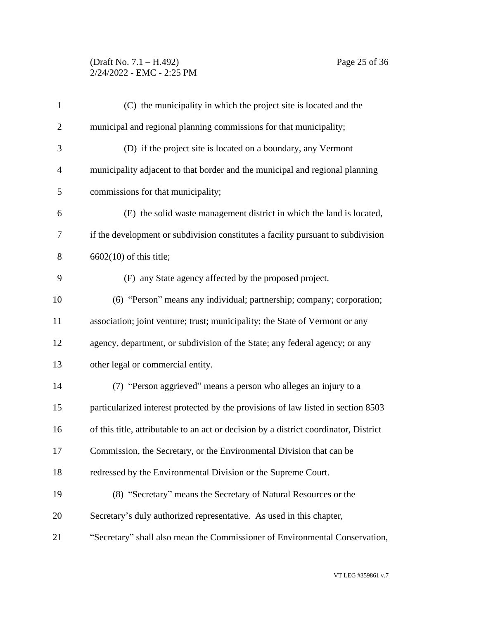### (Draft No. 7.1 – H.492) Page 25 of 36 2/24/2022 - EMC - 2:25 PM

| $\mathbf{1}$   | (C) the municipality in which the project site is located and the                     |
|----------------|---------------------------------------------------------------------------------------|
| $\overline{2}$ | municipal and regional planning commissions for that municipality;                    |
| 3              | (D) if the project site is located on a boundary, any Vermont                         |
| $\overline{4}$ | municipality adjacent to that border and the municipal and regional planning          |
| 5              | commissions for that municipality;                                                    |
| 6              | (E) the solid waste management district in which the land is located,                 |
| $\tau$         | if the development or subdivision constitutes a facility pursuant to subdivision      |
| 8              | $6602(10)$ of this title;                                                             |
| 9              | (F) any State agency affected by the proposed project.                                |
| 10             | (6) "Person" means any individual; partnership; company; corporation;                 |
| 11             | association; joint venture; trust; municipality; the State of Vermont or any          |
| 12             | agency, department, or subdivision of the State; any federal agency; or any           |
| 13             | other legal or commercial entity.                                                     |
| 14             | (7) "Person aggrieved" means a person who alleges an injury to a                      |
| 15             | particularized interest protected by the provisions of law listed in section 8503     |
| 16             | of this title, attributable to an act or decision by a district coordinator, District |
| 17             | Commission, the Secretary, or the Environmental Division that can be                  |
| 18             | redressed by the Environmental Division or the Supreme Court.                         |
| 19             | (8) "Secretary" means the Secretary of Natural Resources or the                       |
| 20             | Secretary's duly authorized representative. As used in this chapter,                  |
| 21             | "Secretary" shall also mean the Commissioner of Environmental Conservation,           |
|                |                                                                                       |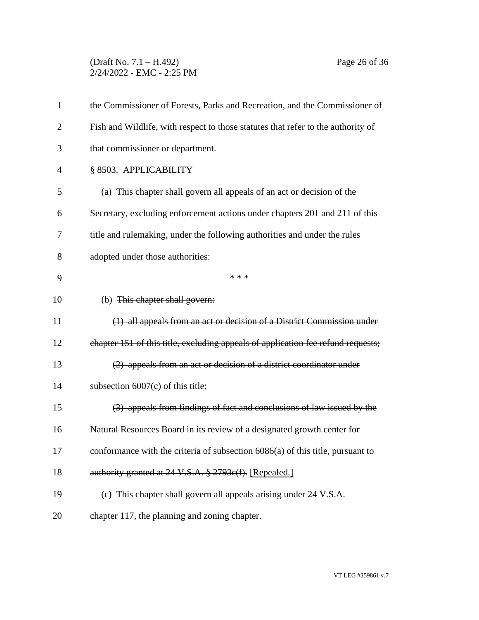### (Draft No. 7.1 – H.492) Page 26 of 36 2/24/2022 - EMC - 2:25 PM

| $\mathbf{1}$   | the Commissioner of Forests, Parks and Recreation, and the Commissioner of       |
|----------------|----------------------------------------------------------------------------------|
| $\overline{2}$ | Fish and Wildlife, with respect to those statutes that refer to the authority of |
| 3              | that commissioner or department.                                                 |
| $\overline{4}$ | § 8503. APPLICABILITY                                                            |
| 5              | (a) This chapter shall govern all appeals of an act or decision of the           |
| 6              | Secretary, excluding enforcement actions under chapters 201 and 211 of this      |
| 7              | title and rulemaking, under the following authorities and under the rules        |
| 8              | adopted under those authorities:                                                 |
| 9              | * * *                                                                            |
| 10             | (b) This chapter shall govern:                                                   |
| 11             | (1) all appeals from an act or decision of a District Commission under           |
| 12             | chapter 151 of this title, excluding appeals of application fee refund requests; |
| 13             | (2) appeals from an act or decision of a district coordinator under              |
| 14             | subsection $6007(c)$ of this title;                                              |
| 15             | (3) appeals from findings of fact and conclusions of law issued by the           |
| 16             | Natural Resources Board in its review of a designated growth center for          |
| 17             | conformance with the criteria of subsection 6086(a) of this title, pursuant to   |
| 18             | authority granted at 24 V.S.A. § 2793c(f). [Repealed.]                           |
| 19             | (c) This chapter shall govern all appeals arising under 24 V.S.A.                |
| 20             | chapter 117, the planning and zoning chapter.                                    |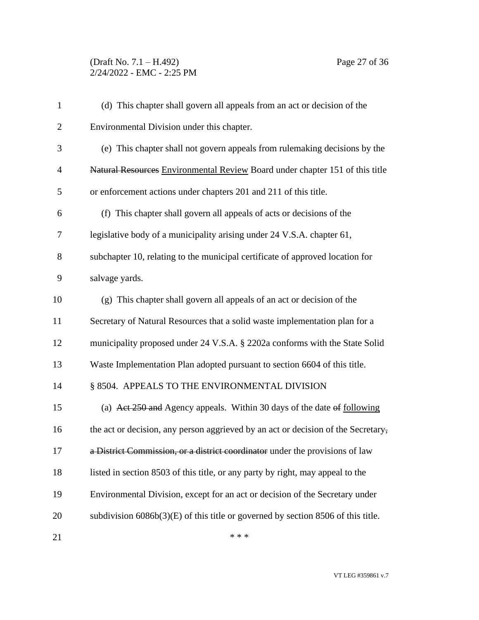# (Draft No. 7.1 – H.492) Page 27 of 36 2/24/2022 - EMC - 2:25 PM

| $\mathbf{1}$   | (d) This chapter shall govern all appeals from an act or decision of the           |
|----------------|------------------------------------------------------------------------------------|
| $\overline{2}$ | Environmental Division under this chapter.                                         |
| 3              | (e) This chapter shall not govern appeals from rulemaking decisions by the         |
| $\overline{4}$ | Natural Resources Environmental Review Board under chapter 151 of this title       |
| 5              | or enforcement actions under chapters 201 and 211 of this title.                   |
| 6              | (f) This chapter shall govern all appeals of acts or decisions of the              |
| $\tau$         | legislative body of a municipality arising under 24 V.S.A. chapter 61,             |
| 8              | subchapter 10, relating to the municipal certificate of approved location for      |
| 9              | salvage yards.                                                                     |
| 10             | (g) This chapter shall govern all appeals of an act or decision of the             |
| 11             | Secretary of Natural Resources that a solid waste implementation plan for a        |
| 12             | municipality proposed under 24 V.S.A. § 2202a conforms with the State Solid        |
| 13             | Waste Implementation Plan adopted pursuant to section 6604 of this title.          |
| 14             | § 8504. APPEALS TO THE ENVIRONMENTAL DIVISION                                      |
| 15             | (a) Act 250 and Agency appeals. Within 30 days of the date of following            |
| 16             | the act or decision, any person aggrieved by an act or decision of the Secretary,  |
| 17             | a District Commission, or a district coordinator under the provisions of law       |
| 18             | listed in section 8503 of this title, or any party by right, may appeal to the     |
| 19             | Environmental Division, except for an act or decision of the Secretary under       |
| 20             | subdivision $6086b(3)(E)$ of this title or governed by section 8506 of this title. |
| 21             | * * *                                                                              |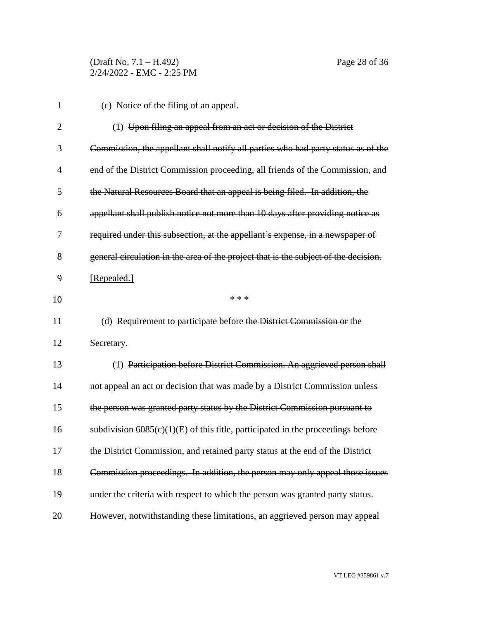| $\mathbf{1}$   | (c) Notice of the filing of an appeal.                                              |
|----------------|-------------------------------------------------------------------------------------|
| $\overline{2}$ | (1) Upon filing an appeal from an act or decision of the District                   |
| 3              | Commission, the appellant shall notify all parties who had party status as of the   |
| $\overline{4}$ | end of the District Commission proceeding, all friends of the Commission, and       |
| 5              | the Natural Resources Board that an appeal is being filed. In addition, the         |
| 6              | appellant shall publish notice not more than 10 days after providing notice as      |
| 7              | required under this subsection, at the appellant's expense, in a newspaper of       |
| 8              | general circulation in the area of the project that is the subject of the decision. |
| 9              | [Repealed.]                                                                         |
| 10             | * * *                                                                               |
| 11             | (d) Requirement to participate before the District Commission or the                |
| 12             | Secretary.                                                                          |
| 13             | (1) Participation before District Commission. An aggrieved person shall             |
| 14             | not appeal an act or decision that was made by a District Commission unless         |
| 15             | the person was granted party status by the District Commission pursuant to          |
| 16             | subdivision $6085(c)(1)(E)$ of this title, participated in the proceedings before   |
| 17             | the District Commission, and retained party status at the end of the District       |
| 18             | Commission proceedings. In addition, the person may only appeal those issues        |
| 19             | under the criteria with respect to which the person was granted party status.       |
| 20             | However, notwithstanding these limitations, an aggrieved person may appeal          |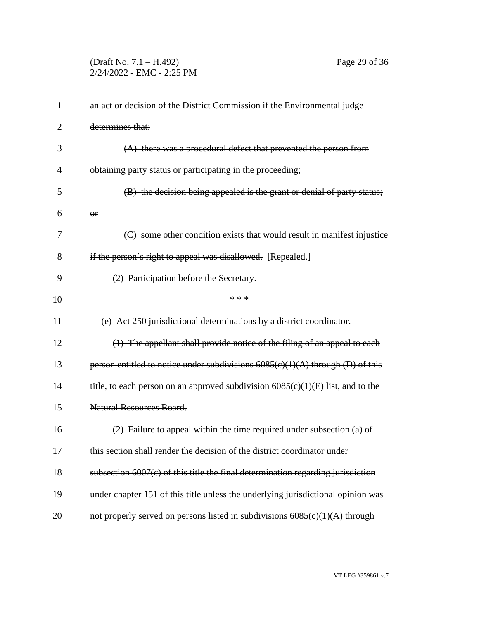(Draft No. 7.1 – H.492) Page 29 of 36 2/24/2022 - EMC - 2:25 PM

| 1              | an act or decision of the District Commission if the Environmental judge          |
|----------------|-----------------------------------------------------------------------------------|
| $\overline{2}$ | determines that:                                                                  |
| 3              | $(A)$ there was a procedural defect that prevented the person from                |
| $\overline{4}$ | obtaining party status or participating in the proceeding;                        |
| 5              | (B) the decision being appealed is the grant or denial of party status;           |
| 6              | $\Theta$ <b>r</b>                                                                 |
| 7              | (C) some other condition exists that would result in manifest injustice           |
| 8              | if the person's right to appeal was disallowed. [Repealed.]                       |
| 9              | (2) Participation before the Secretary.                                           |
| 10             | * * *                                                                             |
| 11             | (e) Act 250 jurisdictional determinations by a district coordinator.              |
| 12             | (1) The appellant shall provide notice of the filing of an appeal to each         |
| 13             | person entitled to notice under subdivisions $6085(c)(1)(A)$ through (D) of this  |
| 14             | title, to each person on an approved subdivision 6085(c)(1)(E) list, and to the   |
| 15             | <b>Natural Resources Board.</b>                                                   |
| 16             | $(2)$ Failure to appeal within the time required under subsection $(a)$ of        |
| 17             | this section shall render the decision of the district coordinator under          |
| 18             | subsection $6007(c)$ of this title the final determination regarding jurisdiction |
| 19             | under chapter 151 of this title unless the underlying jurisdictional opinion was  |
| 20             | not properly served on persons listed in subdivisions 6085(c)(1)(A) through       |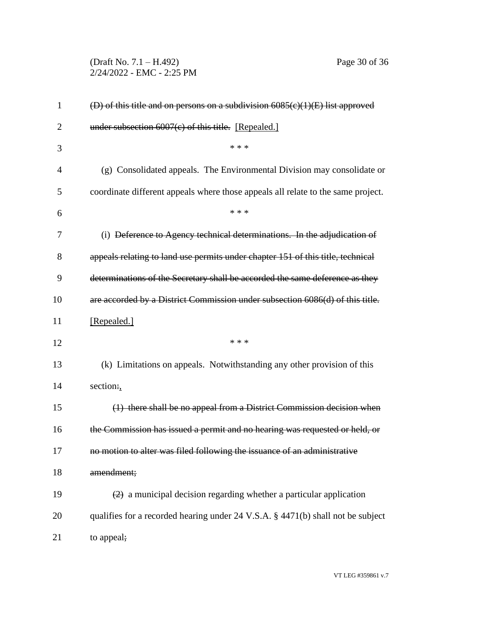(Draft No. 7.1 – H.492) Page 30 of 36 2/24/2022 - EMC - 2:25 PM

| $\mathbf{1}$   | (D) of this title and on persons on a subdivision 6085(c)(1)(E) list approved                |
|----------------|----------------------------------------------------------------------------------------------|
| $\overline{2}$ | under subsection $6007(c)$ of this title. [Repealed.]                                        |
| 3              | * * *                                                                                        |
| 4              | (g) Consolidated appeals. The Environmental Division may consolidate or                      |
| 5              | coordinate different appeals where those appeals all relate to the same project.             |
| 6              | * * *                                                                                        |
| 7              | (i) Deference to Agency technical determinations. In the adjudication of                     |
| 8              | appeals relating to land use permits under chapter 151 of this title, technical              |
| 9              | determinations of the Secretary shall be accorded the same deference as they                 |
| 10             | are accorded by a District Commission under subsection 6086(d) of this title.                |
| 11             | [Repealed.]                                                                                  |
| 12             | * * *                                                                                        |
| 13             | (k) Limitations on appeals. Notwithstanding any other provision of this                      |
| 14             | section:,                                                                                    |
| 15             | (1) there shall be no appeal from a District Commission decision when                        |
| 16             | the Commission has issued a permit and no hearing was requested or held, or                  |
| 17             | no motion to alter was filed following the issuance of an administrative                     |
| 18             | amendment;                                                                                   |
| 19             | $\left( \frac{2}{2} \right)$ a municipal decision regarding whether a particular application |
| 20             | qualifies for a recorded hearing under 24 V.S.A. § 4471(b) shall not be subject              |
| 21             | to appeal;                                                                                   |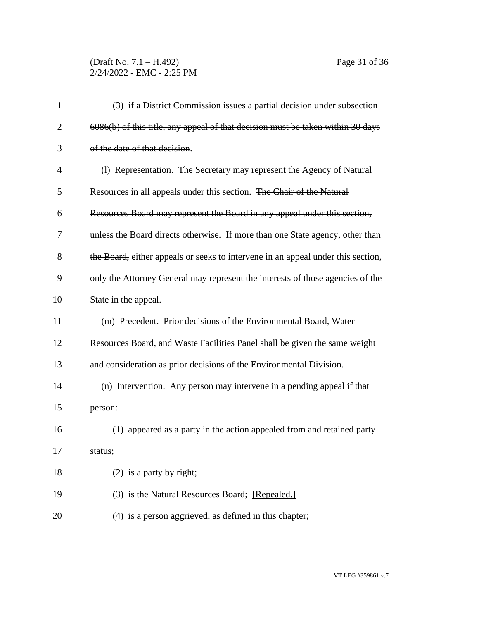# (Draft No. 7.1 – H.492) Page 31 of 36 2/24/2022 - EMC - 2:25 PM

| $\mathbf{1}$ | (3) if a District Commission issues a partial decision under subsection          |
|--------------|----------------------------------------------------------------------------------|
| 2            | 6086(b) of this title, any appeal of that decision must be taken within 30 days  |
| 3            | of the date of that decision.                                                    |
| 4            | (1) Representation. The Secretary may represent the Agency of Natural            |
| 5            | Resources in all appeals under this section. The Chair of the Natural            |
| 6            | Resources Board may represent the Board in any appeal under this section,        |
| 7            | unless the Board directs otherwise. If more than one State agency, other than    |
| 8            | the Board, either appeals or seeks to intervene in an appeal under this section, |
| 9            | only the Attorney General may represent the interests of those agencies of the   |
| 10           | State in the appeal.                                                             |
| 11           | (m) Precedent. Prior decisions of the Environmental Board, Water                 |
| 12           | Resources Board, and Waste Facilities Panel shall be given the same weight       |
| 13           | and consideration as prior decisions of the Environmental Division.              |
| 14           | (n) Intervention. Any person may intervene in a pending appeal if that           |
| 15           | person:                                                                          |
| 16           | (1) appeared as a party in the action appealed from and retained party           |
| 17           | status;                                                                          |
| 18           | $(2)$ is a party by right;                                                       |
| 19           | (3) is the Natural Resources Board; [Repealed.]                                  |
| 20           | (4) is a person aggrieved, as defined in this chapter;                           |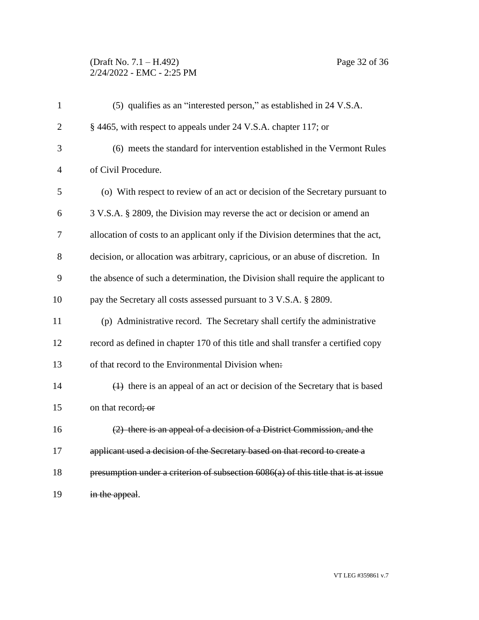### (Draft No. 7.1 – H.492) Page 32 of 36 2/24/2022 - EMC - 2:25 PM

| $\mathbf{1}$   | (5) qualifies as an "interested person," as established in 24 V.S.A.                 |
|----------------|--------------------------------------------------------------------------------------|
| $\overline{2}$ | § 4465, with respect to appeals under 24 V.S.A. chapter 117; or                      |
| 3              | (6) meets the standard for intervention established in the Vermont Rules             |
| $\overline{4}$ | of Civil Procedure.                                                                  |
| 5              | (o) With respect to review of an act or decision of the Secretary pursuant to        |
| 6              | 3 V.S.A. § 2809, the Division may reverse the act or decision or amend an            |
| 7              | allocation of costs to an applicant only if the Division determines that the act,    |
| 8              | decision, or allocation was arbitrary, capricious, or an abuse of discretion. In     |
| 9              | the absence of such a determination, the Division shall require the applicant to     |
| 10             | pay the Secretary all costs assessed pursuant to 3 V.S.A. § 2809.                    |
| 11             | (p) Administrative record. The Secretary shall certify the administrative            |
| 12             | record as defined in chapter 170 of this title and shall transfer a certified copy   |
| 13             | of that record to the Environmental Division when:                                   |
| 14             | $(1)$ there is an appeal of an act or decision of the Secretary that is based        |
| 15             | on that record; or                                                                   |
| 16             | (2) there is an appeal of a decision of a District Commission, and the               |
| 17             | applicant used a decision of the Secretary based on that record to create a          |
| 18             | presumption under a criterion of subsection $6086(a)$ of this title that is at issue |
| 19             | in the appeal.                                                                       |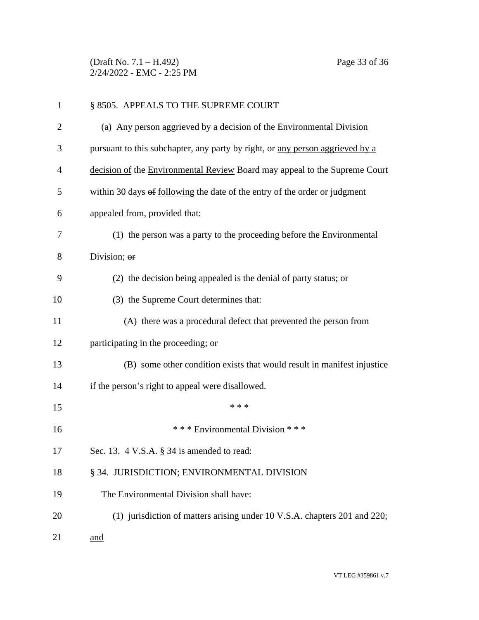(Draft No. 7.1 – H.492) Page 33 of 36 2/24/2022 - EMC - 2:25 PM

| 1              | § 8505. APPEALS TO THE SUPREME COURT                                          |
|----------------|-------------------------------------------------------------------------------|
| $\overline{2}$ | (a) Any person aggrieved by a decision of the Environmental Division          |
| 3              | pursuant to this subchapter, any party by right, or any person aggrieved by a |
| 4              | decision of the Environmental Review Board may appeal to the Supreme Court    |
| 5              | within 30 days of following the date of the entry of the order or judgment    |
| 6              | appealed from, provided that:                                                 |
| 7              | (1) the person was a party to the proceeding before the Environmental         |
| 8              | Division; or                                                                  |
| 9              | (2) the decision being appealed is the denial of party status; or             |
| 10             | (3) the Supreme Court determines that:                                        |
| 11             | (A) there was a procedural defect that prevented the person from              |
| 12             | participating in the proceeding; or                                           |
| 13             | (B) some other condition exists that would result in manifest injustice       |
| 14             | if the person's right to appeal were disallowed.                              |
| 15             | * * *                                                                         |
| 16             | *** Environmental Division ***                                                |
| 17             | Sec. 13. 4 V.S.A. § 34 is amended to read:                                    |
| 18             | § 34. JURISDICTION; ENVIRONMENTAL DIVISION                                    |
| 19             | The Environmental Division shall have:                                        |
| 20             | (1) jurisdiction of matters arising under 10 V.S.A. chapters 201 and 220;     |
| 21             | and                                                                           |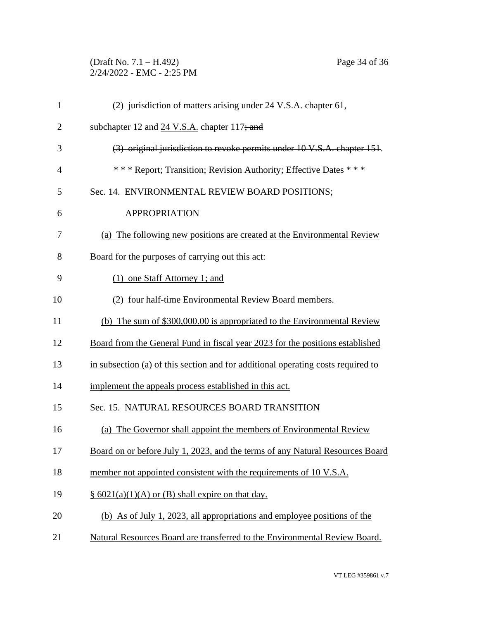# (Draft No. 7.1 – H.492) Page 34 of 36 2/24/2022 - EMC - 2:25 PM

| $\mathbf{1}$   | (2) jurisdiction of matters arising under 24 V.S.A. chapter 61,                  |
|----------------|----------------------------------------------------------------------------------|
| $\overline{2}$ | subchapter 12 and 24 V.S.A. chapter 117; and                                     |
| 3              | (3) original jurisdiction to revoke permits under 10 V.S.A. chapter 151.         |
| $\overline{4}$ | *** Report; Transition; Revision Authority; Effective Dates ***                  |
| 5              | Sec. 14. ENVIRONMENTAL REVIEW BOARD POSITIONS;                                   |
| 6              | <b>APPROPRIATION</b>                                                             |
| 7              | (a) The following new positions are created at the Environmental Review          |
| 8              | Board for the purposes of carrying out this act:                                 |
| 9              | (1) one Staff Attorney 1; and                                                    |
| 10             | (2) four half-time Environmental Review Board members.                           |
| 11             | (b) The sum of \$300,000.00 is appropriated to the Environmental Review          |
| 12             | Board from the General Fund in fiscal year 2023 for the positions established    |
| 13             | in subsection (a) of this section and for additional operating costs required to |
| 14             | implement the appeals process established in this act.                           |
| 15             | Sec. 15. NATURAL RESOURCES BOARD TRANSITION                                      |
| 16             | (a) The Governor shall appoint the members of Environmental Review               |
| 17             | Board on or before July 1, 2023, and the terms of any Natural Resources Board    |
| 18             | member not appointed consistent with the requirements of 10 V.S.A.               |
| 19             | $§ 6021(a)(1)(A)$ or (B) shall expire on that day.                               |
| 20             | (b) As of July 1, 2023, all appropriations and employee positions of the         |
| 21             | Natural Resources Board are transferred to the Environmental Review Board.       |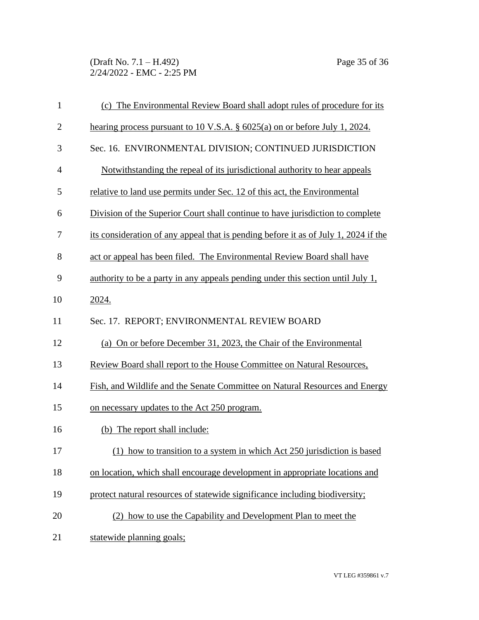(Draft No. 7.1 – H.492) Page 35 of 36 2/24/2022 - EMC - 2:25 PM

| $\mathbf{1}$   | (c) The Environmental Review Board shall adopt rules of procedure for its           |
|----------------|-------------------------------------------------------------------------------------|
| $\mathbf{2}$   | hearing process pursuant to 10 V.S.A. $\S$ 6025(a) on or before July 1, 2024.       |
| 3              | Sec. 16. ENVIRONMENTAL DIVISION; CONTINUED JURISDICTION                             |
| $\overline{4}$ | Notwithstanding the repeal of its jurisdictional authority to hear appeals          |
| 5              | relative to land use permits under Sec. 12 of this act, the Environmental           |
| 6              | Division of the Superior Court shall continue to have jurisdiction to complete      |
| 7              | its consideration of any appeal that is pending before it as of July 1, 2024 if the |
| 8              | act or appeal has been filed. The Environmental Review Board shall have             |
| 9              | authority to be a party in any appeals pending under this section until July 1,     |
| 10             | 2024.                                                                               |
| 11             | Sec. 17. REPORT; ENVIRONMENTAL REVIEW BOARD                                         |
| 12             | (a) On or before December 31, 2023, the Chair of the Environmental                  |
| 13             | Review Board shall report to the House Committee on Natural Resources,              |
| 14             | Fish, and Wildlife and the Senate Committee on Natural Resources and Energy         |
| 15             | on necessary updates to the Act 250 program.                                        |
| 16             | (b) The report shall include:                                                       |
| 17             | how to transition to a system in which Act 250 jurisdiction is based                |
| 18             | on location, which shall encourage development in appropriate locations and         |
| 19             | protect natural resources of statewide significance including biodiversity;         |
| 20             | (2) how to use the Capability and Development Plan to meet the                      |
| 21             | statewide planning goals;                                                           |